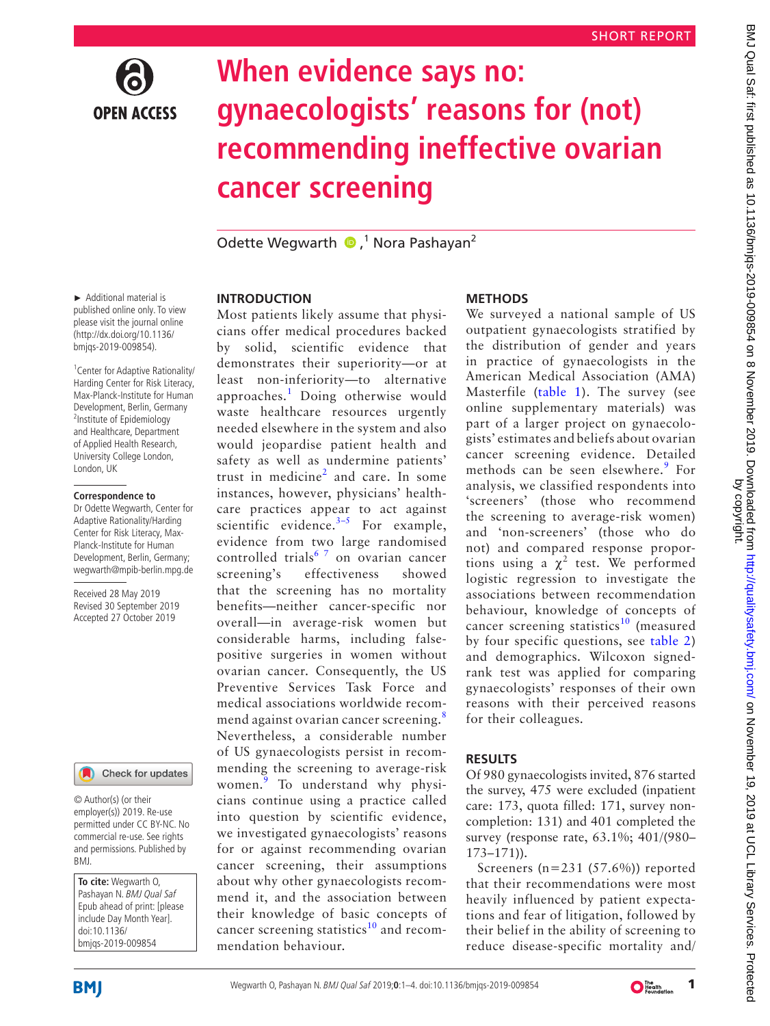

# **When evidence says no: gynaecologists' reasons for (not) recommending ineffective ovarian cancer screening**

OdetteWegwarth  $\bigcirc$  ,<sup>1</sup> Nora Pashayan<sup>2</sup>

## **Introduction**

Most patients likely assume that physicians offer medical procedures backed by solid, scientific evidence that demonstrates their superiority—or at least non-inferiority—to alternative approaches.<sup>[1](#page-2-0)</sup> Doing otherwise would waste healthcare resources urgently needed elsewhere in the system and also would jeopardise patient health and safety as well as undermine patients' trust in medicine<sup>[2](#page-3-0)</sup> and care. In some instances, however, physicians' healthcare practices appear to act against scientific evidence. $3-5$  For example, evidence from two large randomised controlled trials<sup>[6 7](#page-3-2)</sup> on ovarian cancer screening's effectiveness showed that the screening has no mortality benefits—neither cancer-specific nor overall—in average-risk women but considerable harms, including falsepositive surgeries in women without ovarian cancer. Consequently, the US Preventive Services Task Force and medical associations worldwide recom-mend against ovarian cancer screening.<sup>[8](#page-3-3)</sup> Nevertheless, a considerable number of US gynaecologists persist in recommending the screening to average-risk women.<sup>[9](#page-3-4)</sup> To understand why physicians continue using a practice called into question by scientific evidence, we investigated gynaecologists' reasons for or against recommending ovarian cancer screening, their assumptions about why other gynaecologists recommend it, and the association between their knowledge of basic concepts of cancer screening statistics $10$  and recommendation behaviour.

# **Methods**

We surveyed a national sample of US outpatient gynaecologists stratified by the distribution of gender and years in practice of gynaecologists in the American Medical Association (AMA) Masterfile [\(table](#page-1-0) 1). The survey (see [online supplementary materials](https://dx.doi.org/10.1136/bmjqs-2019-009854)) was part of a larger project on gynaecologists' estimates and beliefs about ovarian cancer screening evidence. Detailed methods can be seen elsewhere.<sup>[9](#page-3-4)</sup> For analysis, we classified respondents into 'screeners' (those who recommend the screening to average-risk women) and 'non-screeners' (those who do not) and compared response proportions using a  $\chi^2$  test. We performed logistic regression to investigate the associations between recommendation behaviour, knowledge of concepts of cancer screening statistics<sup>10</sup> (measured by four specific questions, see [table](#page-2-1) 2) and demographics. Wilcoxon signedrank test was applied for comparing gynaecologists' responses of their own reasons with their perceived reasons for their colleagues.

BMJ Qual Saf: first published as 10.1136/bmjqs-2019-009854 on 8 November 2019. Downloaded from http://qualitysafety.bmj.com/ on November 19, 2019 at UCL Library Services. Protected<br>by copyright. BMJ Qual Sat: first published as 10.1136/bmjqs-2019-009854 on 8 November 2019. Downloaded from <http://qualitysafety.bmj.com/> on November 19, 2019 at UCL Library Services. Protected by copyright.

# **Results**

Of 980 gynaecologists invited, 876 started the survey, 475 were excluded (inpatient care: 173, quota filled: 171, survey noncompletion: 131) and 401 completed the survey (response rate, 63.1%; 401/(980– 173–171)).

Screeners ( $n=231$  (57.6%)) reported that their recommendations were most heavily influenced by patient expectations and fear of litigation, followed by their belief in the ability of screening to reduce disease-specific mortality and/

► Additional material is published online only. To view please visit the journal online [\(http://dx.doi.org/10.1136/](http://dx.doi.org/10.1136/bmjqs-2019-009854) [bmjqs-2019-009854](http://dx.doi.org/10.1136/bmjqs-2019-009854)).

<sup>1</sup> Center for Adaptive Rationality/ Harding Center for Risk Literacy, Max-Planck-Institute for Human Development, Berlin, Germany <sup>2</sup>Institute of Epidemiology and Healthcare, Department of Applied Health Research, University College London, London, UK

#### **Correspondence to**

Dr Odette Wegwarth, Center for Adaptive Rationality/Harding Center for Risk Literacy, Max-Planck-Institute for Human Development, Berlin, Germany; wegwarth@mpib-berlin.mpg.de

Received 28 May 2019 Revised 30 September 2019 Accepted 27 October 2019



© Author(s) (or their employer(s)) 2019. Re-use permitted under CC BY-NC. No commercial re-use. See rights and permissions. Published by BMJ.

**To cite:** Wegwarth O, Pashayan N. BMJ Qual Saf Epub ahead of print: [please include Day Month Year]. doi:10.1136/ bmjqs-2019-009854

**BMJ** 

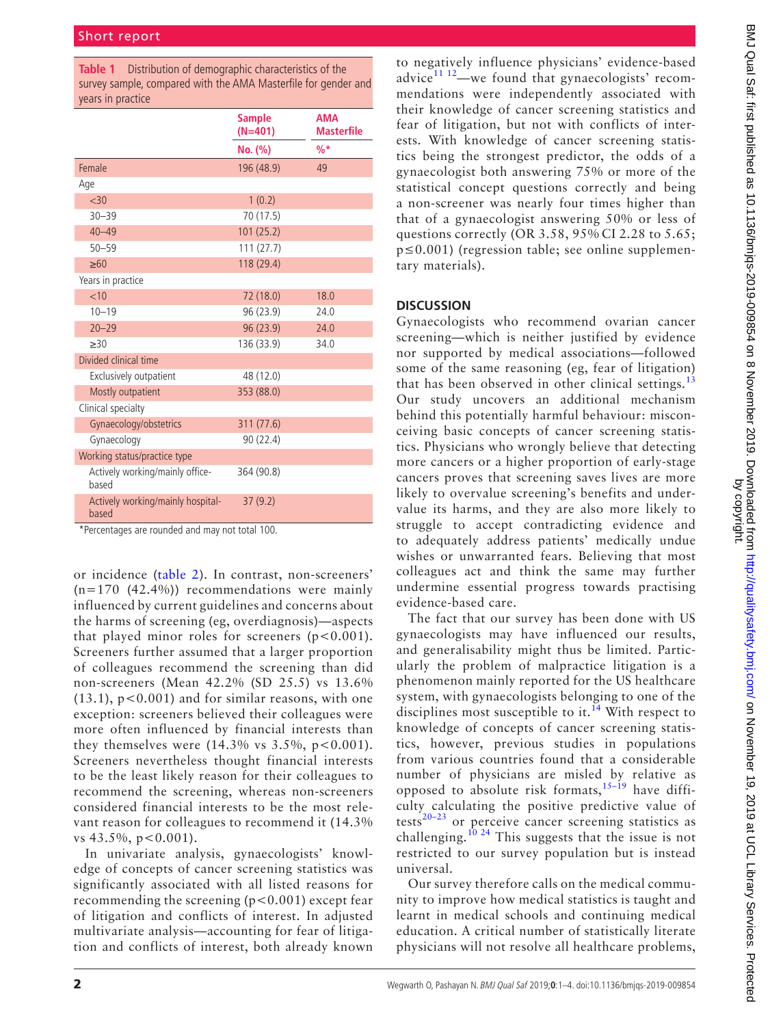<span id="page-1-0"></span>**Table 1** Distribution of demographic characteristics of the survey sample, compared with the AMA Masterfile for gender and years in practice

|                                            | <b>Sample</b><br>$(N=401)$ | <b>AMA</b><br><b>Masterfile</b> |
|--------------------------------------------|----------------------------|---------------------------------|
|                                            | No. (%)                    | $\frac{0}{6}$ *                 |
| Female                                     | 196 (48.9)                 | 49                              |
| Age                                        |                            |                                 |
| <30                                        | 1(0.2)                     |                                 |
| $30 - 39$                                  | 70 (17.5)                  |                                 |
| $40 - 49$                                  | 101(25.2)                  |                                 |
| $50 - 59$                                  | 111(27.7)                  |                                 |
| $\geq 60$                                  | 118 (29.4)                 |                                 |
| Years in practice                          |                            |                                 |
| <10                                        | 72 (18.0)                  | 18.0                            |
| $10 - 19$                                  | 96 (23.9)                  | 24.0                            |
| $20 - 29$                                  | 96 (23.9)                  | 24.0                            |
| >30                                        | 136 (33.9)                 | 34.0                            |
| Divided clinical time                      |                            |                                 |
| Exclusively outpatient                     | 48 (12.0)                  |                                 |
| Mostly outpatient                          | 353 (88.0)                 |                                 |
| Clinical specialty                         |                            |                                 |
| Gynaecology/obstetrics                     | 311 (77.6)                 |                                 |
| Gynaecology                                | 90 (22.4)                  |                                 |
| Working status/practice type               |                            |                                 |
| Actively working/mainly office-<br>based   | 364 (90.8)                 |                                 |
| Actively working/mainly hospital-<br>based | 37(9.2)                    |                                 |

\*Percentages are rounded and may not total 100.

or incidence ([table](#page-2-1) 2). In contrast, non-screeners'  $(n=170 (42.4%)$ ) recommendations were mainly influenced by current guidelines and concerns about the harms of screening (eg, overdiagnosis)—aspects that played minor roles for screeners  $(p<0.001)$ . Screeners further assumed that a larger proportion of colleagues recommend the screening than did non-screeners (Mean 42.2% (SD 25.5) vs 13.6%  $(13.1)$ ,  $p < 0.001$ ) and for similar reasons, with one exception: screeners believed their colleagues were more often influenced by financial interests than they themselves were  $(14.3\% \text{ vs } 3.5\%, \text{ p} < 0.001).$ Screeners nevertheless thought financial interests to be the least likely reason for their colleagues to recommend the screening, whereas non-screeners considered financial interests to be the most relevant reason for colleagues to recommend it (14.3% vs  $43.5\%$ ,  $p < 0.001$ ).

In univariate analysis, gynaecologists' knowledge of concepts of cancer screening statistics was significantly associated with all listed reasons for recommending the screening  $(p<0.001)$  except fear of litigation and conflicts of interest. In adjusted multivariate analysis—accounting for fear of litigation and conflicts of interest, both already known

to negatively influence physicians' evidence-based advice $11^{12}$ —we found that gynaecologists' recommendations were independently associated with their knowledge of cancer screening statistics and fear of litigation, but not with conflicts of interests. With knowledge of cancer screening statistics being the strongest predictor, the odds of a gynaecologist both answering 75% or more of the statistical concept questions correctly and being a non-screener was nearly four times higher than that of a gynaecologist answering 50% or less of questions correctly (OR 3.58, 95% CI 2.28 to 5.65; p≤0.001) (regression table; see [online supplemen](https://dx.doi.org/10.1136/bmjqs-2019-009854)[tary materials](https://dx.doi.org/10.1136/bmjqs-2019-009854)).

### **Discussion**

Gynaecologists who recommend ovarian cancer screening—which is neither justified by evidence nor supported by medical associations—followed some of the same reasoning (eg, fear of litigation) that has been observed in other clinical settings. $^{13}$  $^{13}$  $^{13}$ Our study uncovers an additional mechanism behind this potentially harmful behaviour: misconceiving basic concepts of cancer screening statistics. Physicians who wrongly believe that detecting more cancers or a higher proportion of early-stage cancers proves that screening saves lives are more likely to overvalue screening's benefits and undervalue its harms, and they are also more likely to struggle to accept contradicting evidence and to adequately address patients' medically undue wishes or unwarranted fears. Believing that most colleagues act and think the same may further undermine essential progress towards practising evidence-based care.

The fact that our survey has been done with US gynaecologists may have influenced our results, and generalisability might thus be limited. Particularly the problem of malpractice litigation is a phenomenon mainly reported for the US healthcare system, with gynaecologists belonging to one of the disciplines most susceptible to it.<sup>[14](#page-3-8)</sup> With respect to knowledge of concepts of cancer screening statistics, however, previous studies in populations from various countries found that a considerable number of physicians are misled by relative as opposed to absolute risk formats,<sup>15-19</sup> have difficulty calculating the positive predictive value of tests $20-23$  or perceive cancer screening statistics as challenging.<sup>10 24</sup> This suggests that the issue is not restricted to our survey population but is instead universal.

Our survey therefore calls on the medical community to improve how medical statistics is taught and learnt in medical schools and continuing medical education. A critical number of statistically literate physicians will not resolve all healthcare problems,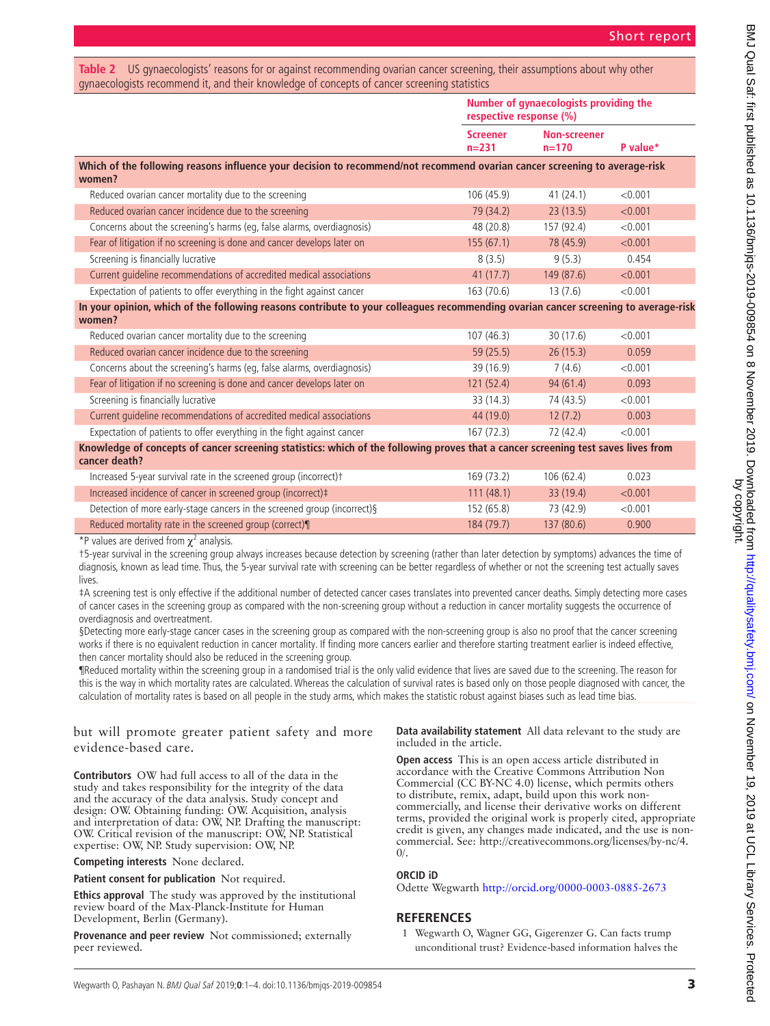<span id="page-2-1"></span>**Table 2** US gynaecologists' reasons for or against recommending ovarian cancer screening, their assumptions about why other gynaecologists recommend it, and their knowledge of concepts of cancer screening statistics

|                                                                                                                                                    | Number of gynaecologists providing the<br>respective response (%) |                                  |          |  |  |
|----------------------------------------------------------------------------------------------------------------------------------------------------|-------------------------------------------------------------------|----------------------------------|----------|--|--|
|                                                                                                                                                    | <b>Screener</b><br>$n = 231$                                      | <b>Non-screener</b><br>$n = 170$ | P value* |  |  |
| Which of the following reasons influence your decision to recommend/not recommend ovarian cancer screening to average-risk<br>women?               |                                                                   |                                  |          |  |  |
| Reduced ovarian cancer mortality due to the screening                                                                                              | 106 (45.9)                                                        | 41(24.1)                         | < 0.001  |  |  |
| Reduced ovarian cancer incidence due to the screening                                                                                              | 79 (34.2)                                                         | 23(13.5)                         | < 0.001  |  |  |
| Concerns about the screening's harms (eq, false alarms, overdiagnosis)                                                                             | 48 (20.8)                                                         | 157 (92.4)                       | < 0.001  |  |  |
| Fear of litigation if no screening is done and cancer develops later on                                                                            | 155(67.1)                                                         | 78 (45.9)                        | < 0.001  |  |  |
| Screening is financially lucrative                                                                                                                 | 8(3.5)                                                            | 9(5.3)                           | 0.454    |  |  |
| Current quideline recommendations of accredited medical associations                                                                               | 41(17.7)                                                          | 149 (87.6)                       | < 0.001  |  |  |
| Expectation of patients to offer everything in the fight against cancer                                                                            | 163(70.6)                                                         | 13(7.6)                          | < 0.001  |  |  |
| In your opinion, which of the following reasons contribute to your colleagues recommending ovarian cancer screening to average-risk<br>women?      |                                                                   |                                  |          |  |  |
| Reduced ovarian cancer mortality due to the screening                                                                                              | 107 (46.3)                                                        | 30(17.6)                         | < 0.001  |  |  |
| Reduced ovarian cancer incidence due to the screening                                                                                              | 59(25.5)                                                          | 26(15.3)                         | 0.059    |  |  |
| Concerns about the screening's harms (eg, false alarms, overdiagnosis)                                                                             | 39 (16.9)                                                         | 7(4.6)                           | < 0.001  |  |  |
| Fear of litigation if no screening is done and cancer develops later on                                                                            | 121(52.4)                                                         | 94(61.4)                         | 0.093    |  |  |
| Screening is financially lucrative                                                                                                                 | 33 (14.3)                                                         | 74 (43.5)                        | < 0.001  |  |  |
| Current quideline recommendations of accredited medical associations                                                                               | 44 (19.0)                                                         | 12(7.2)                          | 0.003    |  |  |
| Expectation of patients to offer everything in the fight against cancer                                                                            | 167(72.3)                                                         | 72 (42.4)                        | < 0.001  |  |  |
| Knowledge of concepts of cancer screening statistics: which of the following proves that a cancer screening test saves lives from<br>cancer death? |                                                                   |                                  |          |  |  |
| Increased 5-year survival rate in the screened group (incorrect)t                                                                                  | 169 (73.2)                                                        | 106(62.4)                        | 0.023    |  |  |
| Increased incidence of cancer in screened group (incorrect)#                                                                                       | 111(48.1)                                                         | 33(19.4)                         | < 0.001  |  |  |
| Detection of more early-stage cancers in the screened group (incorrect)§                                                                           | 152 (65.8)                                                        | 73 (42.9)                        | < 0.001  |  |  |
| Reduced mortality rate in the screened group (correct)¶                                                                                            | 184 (79.7)                                                        | 137 (80.6)                       | 0.900    |  |  |

\*P values are derived from  $\chi^2$  analysis.

†5-year survival in the screening group always increases because detection by screening (rather than later detection by symptoms) advances the time of diagnosis, known as lead time. Thus, the 5-year survival rate with screening can be better regardless of whether or not the screening test actually saves lives.

‡A screening test is only effective if the additional number of detected cancer cases translates into prevented cancer deaths. Simply detecting more cases of cancer cases in the screening group as compared with the non-screening group without a reduction in cancer mortality suggests the occurrence of overdiagnosis and overtreatment.

§Detecting more early-stage cancer cases in the screening group as compared with the non-screening group is also no proof that the cancer screening works if there is no equivalent reduction in cancer mortality. If finding more cancers earlier and therefore starting treatment earlier is indeed effective, then cancer mortality should also be reduced in the screening group.

¶Reduced mortality within the screening group in a randomised trial is the only valid evidence that lives are saved due to the screening. The reason for this is the way in which mortality rates are calculated. Whereas the calculation of survival rates is based only on those people diagnosed with cancer, the calculation of mortality rates is based on all people in the study arms, which makes the statistic robust against biases such as lead time bias.

### but will promote greater patient safety and more evidence-based care.

**Contributors** OW had full access to all of the data in the study and takes responsibility for the integrity of the data and the accuracy of the data analysis. Study concept and design: OW. Obtaining funding: OW. Acquisition, analysis and interpretation of data: OW, NP. Drafting the manuscript: OW. Critical revision of the manuscript: OW, NP. Statistical expertise: OW, NP. Study supervision: OW, NP.

**Competing interests** None declared.

**Patient consent for publication** Not required.

**Ethics approval** The study was approved by the institutional review board of the Max-Planck-Institute for Human Development, Berlin (Germany).

**Provenance and peer review** Not commissioned; externally peer reviewed.

**Data availability statement** All data relevant to the study are included in the article.

**Open access** This is an open access article distributed in accordance with the Creative Commons Attribution Non Commercial (CC BY-NC 4.0) license, which permits others to distribute, remix, adapt, build upon this work noncommercially, and license their derivative works on different terms, provided the original work is properly cited, appropriate credit is given, any changes made indicated, and the use is noncommercial. See: [http://creativecommons.org/licenses/by-nc/4.](http://creativecommons.org/licenses/by-nc/4.0/)  $0/$ .

#### **ORCID iD**

Odette Wegwarth<http://orcid.org/0000-0003-0885-2673>

### **References**

<span id="page-2-0"></span>1 Wegwarth O, Wagner GG, Gigerenzer G. Can facts trump unconditional trust? Evidence-based information halves the by copyright.